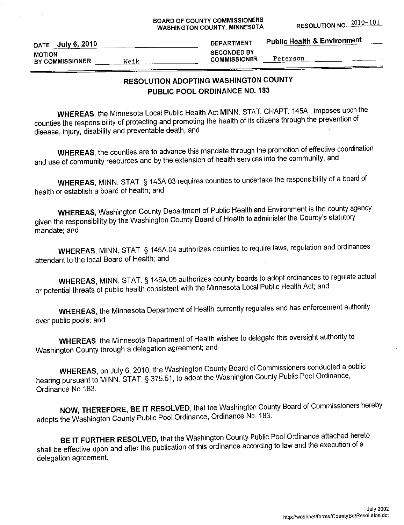#### **BOARD OF COUNTY COMMISSIONERS** WASHINGTON COUNTY, MINNESOTA

| DATE July 6, 2010                        | <b>DEPARTMENT</b>                         | <b>Public Health &amp; Environment</b> |
|------------------------------------------|-------------------------------------------|----------------------------------------|
| <b>MOTION</b><br>BY COMMISSIONER<br>Weik | <b>SECONDED BY</b><br><b>COMMISSIONER</b> | Peterson                               |

# RESOLUTION ADOPTING WASHINGTON COUNTY PUBLIC POOL ORDINANCE NO. 183

WHEREAS, the Minnesota Local Public Health Act MINN. STAT. CHAPT. 145A., imposes upon the counties the responsibility of protecting and promoting the health of its citizens through the prevention of disease, injury, disability and preventable death, and

WHEREAS, the counties are to advance this mandate through the promotion of effective coordination and use of community resources and by the extension of health services into the community, and

WHEREAS, MINN. STAT. § 145A.03 requires counties to undertake the responsibility of a board of health or establish a board of health; and

**WHEREAS, Washington County Department of Public Health and Environment is the county agency** given the responsibility by the Washington County Board of Health to administer the County's statutory mandate: and

WHEREAS, MINN. STAT. § 145A.04 authorizes counties to require laws, regulation and ordinances attendant to the local Board of Health; and

WHEREAS, MINN. STAT. § 145A.05 authorizes county boards to adopt ordinances to regulate actual or potential threats of public health consistent with the Minnesota Local Public Health Act; and

WHEREAS, the Minnesota Department of Health currently regulates and has enforcement authority over public pools; and

WHEREAS, the Minnesota Department of Health wishes to delegate this oversight authority to Washington County through a delegation agreement; and

WHEREAS, on July 6, 2010, the Washington County Board of Commissioners conducted a public hearing pursuant to MINN. STAT. § 375.51, to adopt the Washington County Public Pool Ordinance, Ordinance No 183.

NOW, THEREFORE, BE IT RESOLVED, that the Washington County Board of Commissioners hereby adopts the Washington County Public Pool Ordinance, Ordinance No. 183.

BE IT FURTHER RESOLVED, that the Washington County Public Pool Ordinance attached hereto shall be effective upon and after the publication of this ordinance according to law and the execution of a delegation agreement.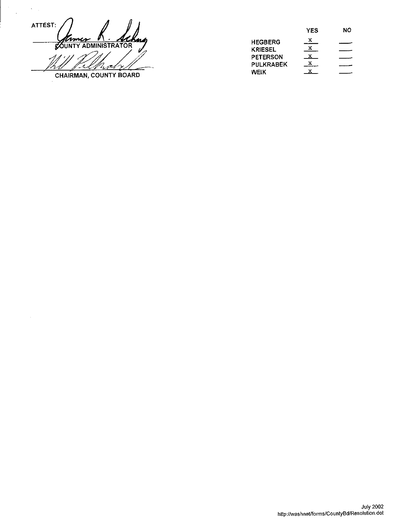ATTEST: nm ı **COUNTY ADMINISTRATOR** CHAIRMAN, COUNTY BOARD

 $\bar{\gamma}$ 

 $\bar{ }$ 

|                 | YES | NO |
|-----------------|-----|----|
| <b>HEGBERG</b>  | x   |    |
| <b>KRIESEL</b>  |     |    |
| <b>PETERSON</b> |     |    |
| PULKRABEK       |     |    |
| WEIK            |     |    |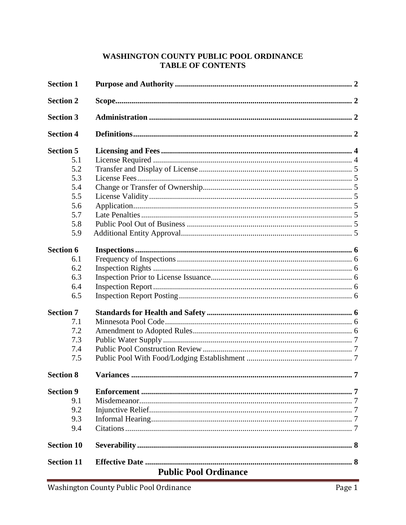### WASHINGTON COUNTY PUBLIC POOL ORDINANCE **TABLE OF CONTENTS**

| <b>Section 1</b>  |                              |                |
|-------------------|------------------------------|----------------|
| <b>Section 2</b>  |                              |                |
| <b>Section 3</b>  |                              |                |
| <b>Section 4</b>  |                              |                |
| <b>Section 5</b>  |                              |                |
| 5.1               |                              |                |
| 5.2               |                              |                |
| 5.3               |                              |                |
| 5.4               |                              |                |
| 5.5               |                              |                |
| 5.6               |                              |                |
| 5.7               |                              |                |
| 5.8               |                              |                |
| 5.9               |                              |                |
| <b>Section 6</b>  |                              |                |
| 6.1               |                              |                |
| 6.2               |                              |                |
| 6.3               |                              |                |
| 6.4               |                              |                |
| 6.5               |                              |                |
| <b>Section 7</b>  |                              |                |
| 7.1               |                              |                |
| 7.2               |                              |                |
| 7.3               |                              |                |
| 7.4               |                              |                |
| 7.5               |                              |                |
| <b>Section 8</b>  | <b>Variances</b>             | $\overline{7}$ |
| <b>Section 9</b>  |                              |                |
| 9.1               |                              |                |
| 9.2               |                              |                |
| 9.3               |                              |                |
| 9.4               |                              |                |
| <b>Section 10</b> |                              |                |
| <b>Section 11</b> |                              |                |
|                   | <b>Public Pool Ordinance</b> |                |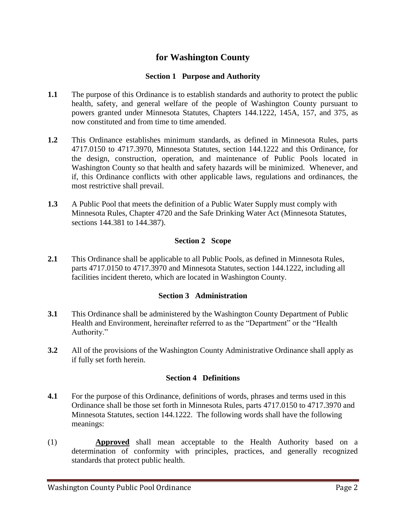# **for Washington County**

#### **Section 1 Purpose and Authority**

- **1.1** The purpose of this Ordinance is to establish standards and authority to protect the public health, safety, and general welfare of the people of Washington County pursuant to powers granted under Minnesota Statutes, Chapters 144.1222, 145A, 157, and 375, as now constituted and from time to time amended.
- **1.2** This Ordinance establishes minimum standards, as defined in Minnesota Rules, parts 4717.0150 to 4717.3970, Minnesota Statutes, section 144.1222 and this Ordinance, for the design, construction, operation, and maintenance of Public Pools located in Washington County so that health and safety hazards will be minimized. Whenever, and if, this Ordinance conflicts with other applicable laws, regulations and ordinances, the most restrictive shall prevail.
- **1.3** A Public Pool that meets the definition of a Public Water Supply must comply with Minnesota Rules, Chapter 4720 and the Safe Drinking Water Act (Minnesota Statutes, sections 144.381 to 144.387).

#### **Section 2 Scope**

**2.1** This Ordinance shall be applicable to all Public Pools, as defined in Minnesota Rules, parts 4717.0150 to 4717.3970 and Minnesota Statutes, section 144.1222, including all facilities incident thereto, which are located in Washington County.

#### **Section 3 Administration**

- **3.1** This Ordinance shall be administered by the Washington County Department of Public Health and Environment, hereinafter referred to as the "Department" or the "Health Authority."
- **3.2** All of the provisions of the Washington County Administrative Ordinance shall apply as if fully set forth herein.

#### **Section 4 Definitions**

- **4.1** For the purpose of this Ordinance, definitions of words, phrases and terms used in this Ordinance shall be those set forth in Minnesota Rules, parts 4717.0150 to 4717.3970 and Minnesota Statutes, section 144.1222. The following words shall have the following meanings:
- (1) **Approved** shall mean acceptable to the Health Authority based on a determination of conformity with principles, practices, and generally recognized standards that protect public health.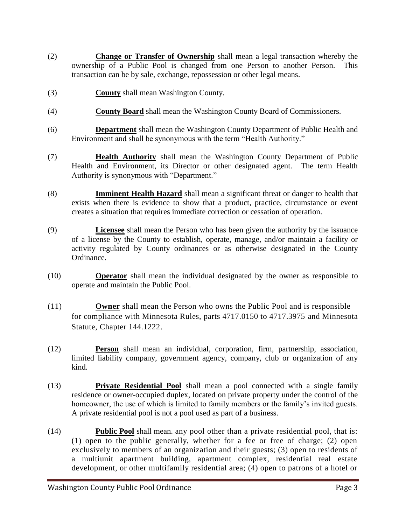- (2) **Change or Transfer of Ownership** shall mean a legal transaction whereby the ownership of a Public Pool is changed from one Person to another Person. This transaction can be by sale, exchange, repossession or other legal means.
- (3) **County** shall mean Washington County.
- (4) **County Board** shall mean the Washington County Board of Commissioners.
- (6) **Department** shall mean the Washington County Department of Public Health and Environment and shall be synonymous with the term "Health Authority."
- (7) **Health Authority** shall mean the Washington County Department of Public Health and Environment, its Director or other designated agent. The term Health Authority is synonymous with "Department."
- (8) **Imminent Health Hazard** shall mean a significant threat or danger to health that exists when there is evidence to show that a product, practice, circumstance or event creates a situation that requires immediate correction or cessation of operation.
- (9) **Licensee** shall mean the Person who has been given the authority by the issuance of a license by the County to establish, operate, manage, and/or maintain a facility or activity regulated by County ordinances or as otherwise designated in the County Ordinance.
- (10) **Operator** shall mean the individual designated by the owner as responsible to operate and maintain the Public Pool.
- (11) **Owner** shall mean the Person who owns the Public Pool and is responsible for compliance with Minnesota Rules, parts 4717.0150 to 4717.3975 and Minnesota Statute, Chapter 144.1222.
- (12) **Person** shall mean an individual, corporation, firm, partnership, association, limited liability company, government agency, company, club or organization of any kind.
- (13) **Private Residential Pool** shall mean a pool connected with a single family residence or owner-occupied duplex, located on private property under the control of the homeowner, the use of which is limited to family members or the family"s invited guests. A private residential pool is not a pool used as part of a business.
- (14) **Public Pool** shall mean. any pool other than a private residential pool, that is: (1) open to the public generally, whether for a fee or free of charge; (2) open exclusively to members of an organization and their guests; (3) open to residents of a multiunit apartment building, apartment complex, residential real estate development, or other multifamily residential area; (4) open to patrons of a hotel or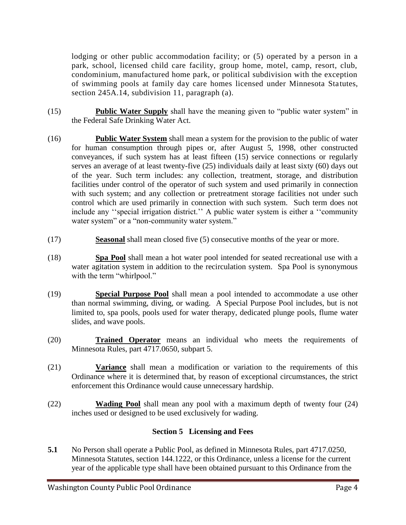lodging or other public accommodation facility; or (5) operated by a person in a park, school, licensed child care facility, group home, motel, camp, resort, club, condominium, manufactured home park, or political subdivision with the exception of swimming pools at family day care homes licensed under Minnesota Statutes, section 245A.14, subdivision 11, paragraph (a).

- (15) **Public Water Supply** shall have the meaning given to "public water system" in the Federal Safe Drinking Water Act.
- (16) **Public Water System** shall mean a system for the provision to the public of water for human consumption through pipes or, after August 5, 1998, other constructed conveyances, if such system has at least fifteen (15) service connections or regularly serves an average of at least twenty-five (25) individuals daily at least sixty (60) days out of the year. Such term includes: any collection, treatment, storage, and distribution facilities under control of the operator of such system and used primarily in connection with such system; and any collection or pretreatment storage facilities not under such control which are used primarily in connection with such system. Such term does not include any "special irrigation district." A public water system is either a "community" water system" or a "non-community water system."
- (17) **Seasonal** shall mean closed five (5) consecutive months of the year or more.
- (18) **Spa Pool** shall mean a hot water pool intended for seated recreational use with a water agitation system in addition to the recirculation system. Spa Pool is synonymous with the term "whirlpool."
- (19) **Special Purpose Pool** shall mean a pool intended to accommodate a use other than normal swimming, diving, or wading. A Special Purpose Pool includes, but is not limited to, spa pools, pools used for water therapy, dedicated plunge pools, flume water slides, and wave pools.
- (20) **Trained Operator** means an individual who meets the requirements of Minnesota Rules, part 4717.0650, subpart 5.
- (21) **Variance** shall mean a modification or variation to the requirements of this Ordinance where it is determined that, by reason of exceptional circumstances, the strict enforcement this Ordinance would cause unnecessary hardship.
- (22) **Wading Pool** shall mean any pool with a maximum depth of twenty four (24) inches used or designed to be used exclusively for wading.

## **Section 5 Licensing and Fees**

**5.1** No Person shall operate a Public Pool, as defined in Minnesota Rules, part 4717.0250, Minnesota Statutes, section 144.1222, or this Ordinance, unless a license for the current year of the applicable type shall have been obtained pursuant to this Ordinance from the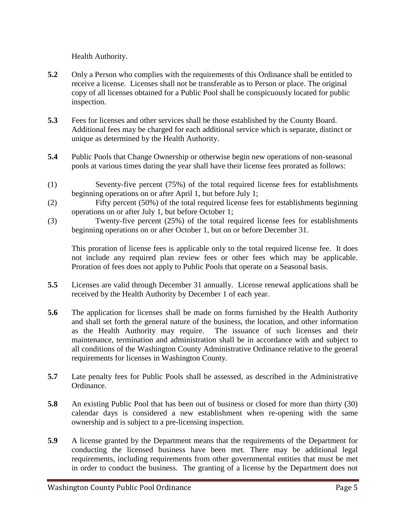Health Authority.

- **5.2** Only a Person who complies with the requirements of this Ordinance shall be entitled to receive a license. Licenses shall not be transferable as to Person or place. The original copy of all licenses obtained for a Public Pool shall be conspicuously located for public inspection.
- **5.3** Fees for licenses and other services shall be those established by the County Board. Additional fees may be charged for each additional service which is separate, distinct or unique as determined by the Health Authority.
- **5.4** Public Pools that Change Ownership or otherwise begin new operations of non-seasonal pools at various times during the year shall have their license fees prorated as follows:
- (1) Seventy-five percent (75%) of the total required license fees for establishments beginning operations on or after April 1, but before July 1;
- (2) Fifty percent (50%) of the total required license fees for establishments beginning operations on or after July 1, but before October 1;
- (3) Twenty-five percent (25%) of the total required license fees for establishments beginning operations on or after October 1, but on or before December 31.

This proration of license fees is applicable only to the total required license fee. It does not include any required plan review fees or other fees which may be applicable. Proration of fees does not apply to Public Pools that operate on a Seasonal basis.

- **5.5** Licenses are valid through December 31 annually. License renewal applications shall be received by the Health Authority by December 1 of each year.
- **5.6** The application for licenses shall be made on forms furnished by the Health Authority and shall set forth the general nature of the business, the location, and other information as the Health Authority may require. The issuance of such licenses and their maintenance, termination and administration shall be in accordance with and subject to all conditions of the Washington County Administrative Ordinance relative to the general requirements for licenses in Washington County.
- **5.7** Late penalty fees for Public Pools shall be assessed, as described in the Administrative Ordinance.
- **5.8** An existing Public Pool that has been out of business or closed for more than thirty (30) calendar days is considered a new establishment when re-opening with the same ownership and is subject to a pre-licensing inspection.
- **5.9** A license granted by the Department means that the requirements of the Department for conducting the licensed business have been met. There may be additional legal requirements, including requirements from other governmental entities that must be met in order to conduct the business. The granting of a license by the Department does not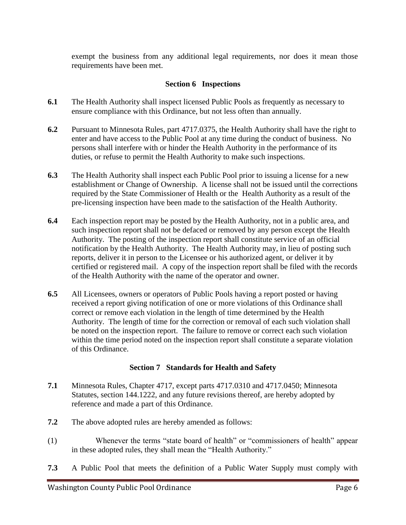exempt the business from any additional legal requirements, nor does it mean those requirements have been met.

### **Section 6 Inspections**

- **6.1** The Health Authority shall inspect licensed Public Pools as frequently as necessary to ensure compliance with this Ordinance, but not less often than annually.
- **6.2** Pursuant to Minnesota Rules, part 4717.0375, the Health Authority shall have the right to enter and have access to the Public Pool at any time during the conduct of business. No persons shall interfere with or hinder the Health Authority in the performance of its duties, or refuse to permit the Health Authority to make such inspections.
- **6.3** The Health Authority shall inspect each Public Pool prior to issuing a license for a new establishment or Change of Ownership. A license shall not be issued until the corrections required by the State Commissioner of Health or the Health Authority as a result of the pre-licensing inspection have been made to the satisfaction of the Health Authority.
- **6.4** Each inspection report may be posted by the Health Authority, not in a public area, and such inspection report shall not be defaced or removed by any person except the Health Authority. The posting of the inspection report shall constitute service of an official notification by the Health Authority. The Health Authority may, in lieu of posting such reports, deliver it in person to the Licensee or his authorized agent, or deliver it by certified or registered mail. A copy of the inspection report shall be filed with the records of the Health Authority with the name of the operator and owner.
- **6.5** All Licensees, owners or operators of Public Pools having a report posted or having received a report giving notification of one or more violations of this Ordinance shall correct or remove each violation in the length of time determined by the Health Authority. The length of time for the correction or removal of each such violation shall be noted on the inspection report. The failure to remove or correct each such violation within the time period noted on the inspection report shall constitute a separate violation of this Ordinance.

#### **Section 7 Standards for Health and Safety**

- **7.1** Minnesota Rules, Chapter 4717, except parts 4717.0310 and 4717.0450; Minnesota Statutes, section 144.1222, and any future revisions thereof, are hereby adopted by reference and made a part of this Ordinance.
- **7.2** The above adopted rules are hereby amended as follows:
- (1) Whenever the terms "state board of health" or "commissioners of health" appear in these adopted rules, they shall mean the "Health Authority."
- **7.3** A Public Pool that meets the definition of a Public Water Supply must comply with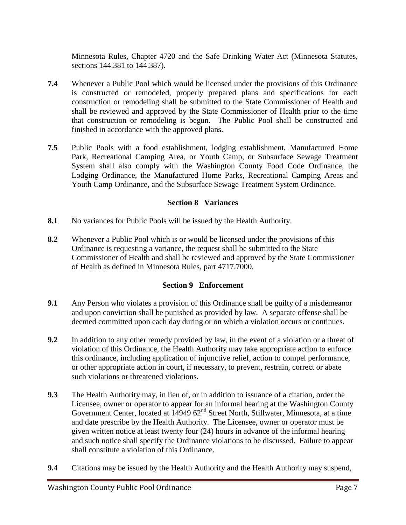Minnesota Rules, Chapter 4720 and the Safe Drinking Water Act (Minnesota Statutes, sections 144.381 to 144.387).

- **7.4** Whenever a Public Pool which would be licensed under the provisions of this Ordinance is constructed or remodeled, properly prepared plans and specifications for each construction or remodeling shall be submitted to the State Commissioner of Health and shall be reviewed and approved by the State Commissioner of Health prior to the time that construction or remodeling is begun. The Public Pool shall be constructed and finished in accordance with the approved plans.
- **7.5** Public Pools with a food establishment, lodging establishment, Manufactured Home Park, Recreational Camping Area, or Youth Camp, or Subsurface Sewage Treatment System shall also comply with the Washington County Food Code Ordinance, the Lodging Ordinance, the Manufactured Home Parks, Recreational Camping Areas and Youth Camp Ordinance, and the Subsurface Sewage Treatment System Ordinance.

## **Section 8 Variances**

- **8.1** No variances for Public Pools will be issued by the Health Authority.
- **8.2** Whenever a Public Pool which is or would be licensed under the provisions of this Ordinance is requesting a variance, the request shall be submitted to the State Commissioner of Health and shall be reviewed and approved by the State Commissioner of Health as defined in Minnesota Rules, part 4717.7000.

## **Section 9 Enforcement**

- **9.1** Any Person who violates a provision of this Ordinance shall be guilty of a misdemeanor and upon conviction shall be punished as provided by law. A separate offense shall be deemed committed upon each day during or on which a violation occurs or continues.
- **9.2** In addition to any other remedy provided by law, in the event of a violation or a threat of violation of this Ordinance, the Health Authority may take appropriate action to enforce this ordinance, including application of injunctive relief, action to compel performance, or other appropriate action in court, if necessary, to prevent, restrain, correct or abate such violations or threatened violations.
- **9.3** The Health Authority may, in lieu of, or in addition to issuance of a citation, order the Licensee, owner or operator to appear for an informal hearing at the Washington County Government Center, located at 14949 62<sup>nd</sup> Street North, Stillwater, Minnesota, at a time and date prescribe by the Health Authority. The Licensee, owner or operator must be given written notice at least twenty four (24) hours in advance of the informal hearing and such notice shall specify the Ordinance violations to be discussed. Failure to appear shall constitute a violation of this Ordinance.
- **9.4** Citations may be issued by the Health Authority and the Health Authority may suspend,